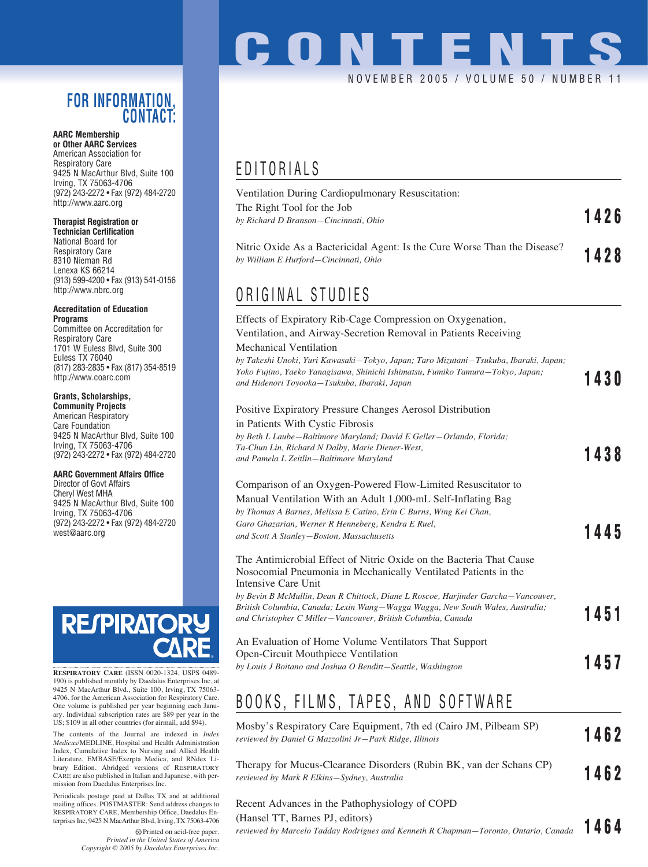### **FOR INFORMATION, CONTACT:**

#### **AARC Membership or Other AARC Services**

American Association for Respiratory Care 9425 N MacArthur Blvd, Suite 100 Irving, TX 75063-4706 (972) 243-2272 • Fax (972) 484-2720 http://www.aarc.org

#### **Therapist Registration or**

**Technician Certification** National Board for Respiratory Care 8310 Nieman Rd Lenexa KS 66214 (913) 599-4200 • Fax (913) 541-0156 http://www.nbrc.org

#### **Accreditation of Education Programs**

Committee on Accreditation for Respiratory Care 1701 W Euless Blvd, Suite 300 Euless TX 76040 (817) 283-2835 • Fax (817) 354-8519 http://www.coarc.com

#### **Grants, Scholarships,**

**Community Projects** American Respiratory Care Foundation 9425 N MacArthur Blvd, Suite 100 Irving, TX 75063-4706 (972) 243-2272 • Fax (972) 484-2720

#### **AARC Government Affairs Office**

Director of Govt Affairs Cheryl West MHA 9425 N MacArthur Blvd, Suite 100 Irving, TX 75063-4706 (972) 243-2272 • Fax (972) 484-2720 west@aarc.org



**RESPIRATORY CARE** (ISSN 0020-1324, USPS 0489- 190) is published monthly by Daedalus Enterprises Inc, at 9425 N MacArthur Blvd., Suite 100, Irving, TX 75063- 4706, for the American Association for Respiratory Care. One volume is published per year beginning each Janu-ary. Individual subscription rates are \$89 per year in the US; \$109 in all other countries (for airmail, add \$94).

The contents of the Journal are indexed in *Index Medicus*/MEDLINE, Hospital and Health Administration Index, Cumulative Index to Nursing and Allied Health Literature, EMBASE/Exerpta Medica, and RNdex Library Edition. Abridged versions of RESPIRATORY CARE are also published in Italian and Japanese, with permission from Daedalus Enterprises Inc.

Periodicals postage paid at Dallas TX and at additional mailing offices. POSTMASTER: Send address changes to RESPIRATORY CARE, Membership Office, Daedalus Enterprises Inc, 9425 N MacArthur Blvd, Irving, TX 75063-4706

> Printed on acid-free paper. *Printed in the United States of America Copyright © 2005 by Daedalus Enterprises Inc.*

# **CONTENTS** NOVEMBER 2005 / VOLUME 50 / NUMBER

## EDITORIALS

| Ventilation During Cardiopulmonary Resuscitation:                                                                  |      |
|--------------------------------------------------------------------------------------------------------------------|------|
| The Right Tool for the Job                                                                                         | 1426 |
| by Richard D Branson—Cincinnati, Ohio                                                                              |      |
| Nitric Oxide As a Bactericidal Agent: Is the Cure Worse Than the Disease?<br>by William E Hurford–Cincinnati, Ohio | 1428 |
|                                                                                                                    |      |

### ORIGINAL STUDIES

| Effects of Expiratory Rib-Cage Compression on Oxygenation,<br>Ventilation, and Airway-Secretion Removal in Patients Receiving                                                                                          |      |
|------------------------------------------------------------------------------------------------------------------------------------------------------------------------------------------------------------------------|------|
| Mechanical Ventilation                                                                                                                                                                                                 |      |
| by Takeshi Unoki, Yuri Kawasaki—Tokyo, Japan; Taro Mizutani—Tsukuba, Ibaraki, Japan;<br>Yoko Fujino, Yaeko Yanagisawa, Shinichi Ishimatsu, Fumiko Tamura-Tokyo, Japan;<br>and Hidenori Toyooka–Tsukuba, Ibaraki, Japan | 1430 |
| Positive Expiratory Pressure Changes Aerosol Distribution                                                                                                                                                              |      |
| in Patients With Cystic Fibrosis                                                                                                                                                                                       |      |
| by Beth L Laube-Baltimore Maryland; David E Geller-Orlando, Florida;                                                                                                                                                   |      |
| Ta-Chun Lin, Richard N Dalby, Marie Diener-West,                                                                                                                                                                       | 1438 |
| and Pamela L Zeitlin-Baltimore Maryland                                                                                                                                                                                |      |
| Comparison of an Oxygen-Powered Flow-Limited Resuscitator to                                                                                                                                                           |      |
| Manual Ventilation With an Adult 1,000-mL Self-Inflating Bag                                                                                                                                                           |      |
| by Thomas A Barnes, Melissa E Catino, Erin C Burns, Wing Kei Chan,                                                                                                                                                     |      |
| Garo Ghazarian, Werner R Henneberg, Kendra E Ruel,                                                                                                                                                                     |      |
| and Scott A Stanley-Boston, Massachusetts                                                                                                                                                                              | 1445 |
| The Antimicrobial Effect of Nitric Oxide on the Bacteria That Cause<br>Nosocomial Pneumonia in Mechanically Ventilated Patients in the<br>Intensive Care Unit                                                          |      |
| by Bevin B McMullin, Dean R Chittock, Diane L Roscoe, Harjinder Garcha–Vancouver,                                                                                                                                      |      |
| British Columbia, Canada; Lexin Wang—Wagga Wagga, New South Wales, Australia;                                                                                                                                          | 1451 |
| and Christopher C Miller-Vancouver, British Columbia, Canada                                                                                                                                                           |      |
| An Evaluation of Home Volume Ventilators That Support                                                                                                                                                                  |      |
| Open-Circuit Mouthpiece Ventilation                                                                                                                                                                                    |      |
| by Louis J Boitano and Joshua O Benditt-Seattle, Washington                                                                                                                                                            | 1457 |

### BOOKS, FILMS, TAPES, AND SOFTWARE

| Mosby's Respiratory Care Equipment, 7th ed (Cairo JM, Pilbeam SP)<br>reviewed by Daniel G Mazzolini Jr—Park Ridge, Illinois | 1462 |
|-----------------------------------------------------------------------------------------------------------------------------|------|
| Therapy for Mucus-Clearance Disorders (Rubin BK, van der Schans CP)<br>reviewed by Mark R Elkins–Sydney, Australia          | 1462 |
| Recent Advances in the Pathophysiology of COPD<br>(Hansel TT, Barnes PJ, editors)                                           |      |

*reviewed by Marcelo Tadday Rodrigues and Kenneth R Chapman—Toronto, Ontario, Canada* **1464**